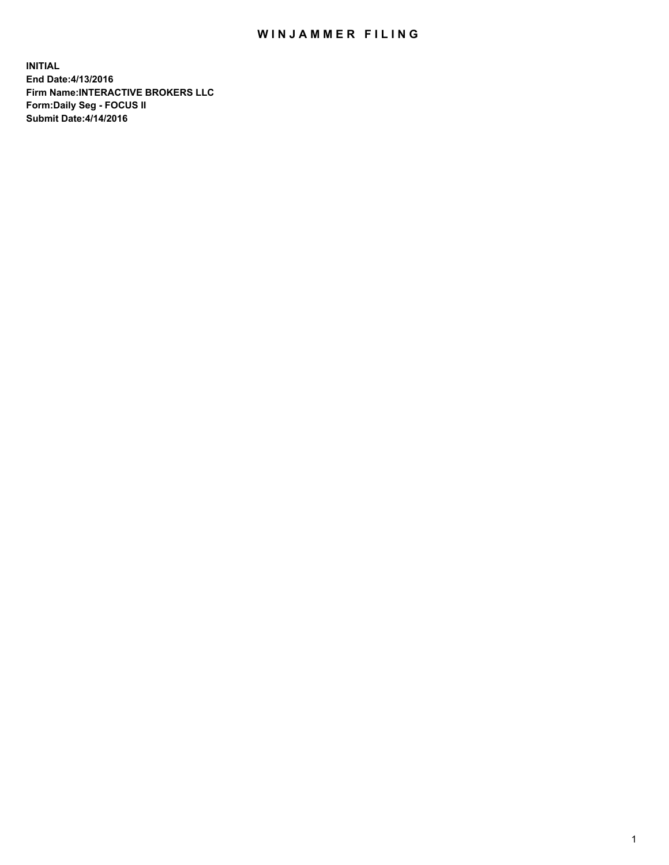## WIN JAMMER FILING

**INITIAL End Date:4/13/2016 Firm Name:INTERACTIVE BROKERS LLC Form:Daily Seg - FOCUS II Submit Date:4/14/2016**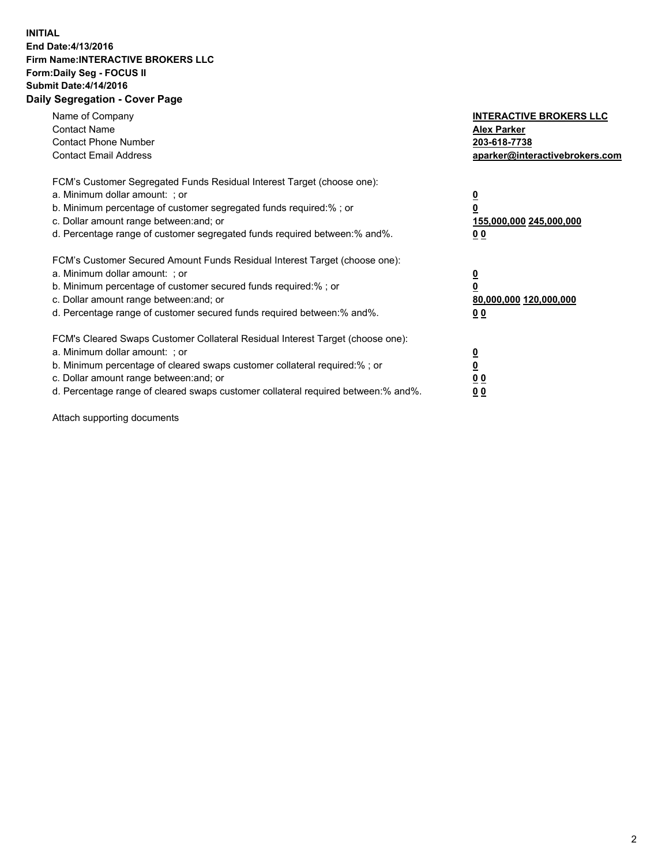## **INITIAL End Date:4/13/2016 Firm Name:INTERACTIVE BROKERS LLC Form:Daily Seg - FOCUS II Submit Date:4/14/2016 Daily Segregation - Cover Page**

| Name of Company<br><b>Contact Name</b><br><b>Contact Phone Number</b><br><b>Contact Email Address</b>                                                                                                                                                                                                                          | <b>INTERACTIVE BROKERS LLC</b><br><b>Alex Parker</b><br>203-618-7738<br>aparker@interactivebrokers.com |
|--------------------------------------------------------------------------------------------------------------------------------------------------------------------------------------------------------------------------------------------------------------------------------------------------------------------------------|--------------------------------------------------------------------------------------------------------|
| FCM's Customer Segregated Funds Residual Interest Target (choose one):<br>a. Minimum dollar amount: ; or<br>b. Minimum percentage of customer segregated funds required:%; or<br>c. Dollar amount range between: and; or<br>d. Percentage range of customer segregated funds required between:% and%.                          | <u>0</u><br>155,000,000 245,000,000<br><u>00</u>                                                       |
| FCM's Customer Secured Amount Funds Residual Interest Target (choose one):<br>a. Minimum dollar amount: ; or<br>b. Minimum percentage of customer secured funds required:%; or<br>c. Dollar amount range between: and; or<br>d. Percentage range of customer secured funds required between:% and%.                            | <u>0</u><br>80,000,000 120,000,000<br><u>00</u>                                                        |
| FCM's Cleared Swaps Customer Collateral Residual Interest Target (choose one):<br>a. Minimum dollar amount: ; or<br>b. Minimum percentage of cleared swaps customer collateral required:% ; or<br>c. Dollar amount range between: and; or<br>d. Percentage range of cleared swaps customer collateral required between:% and%. | <u>0</u><br>0 <sub>0</sub><br>0 <sub>0</sub>                                                           |

Attach supporting documents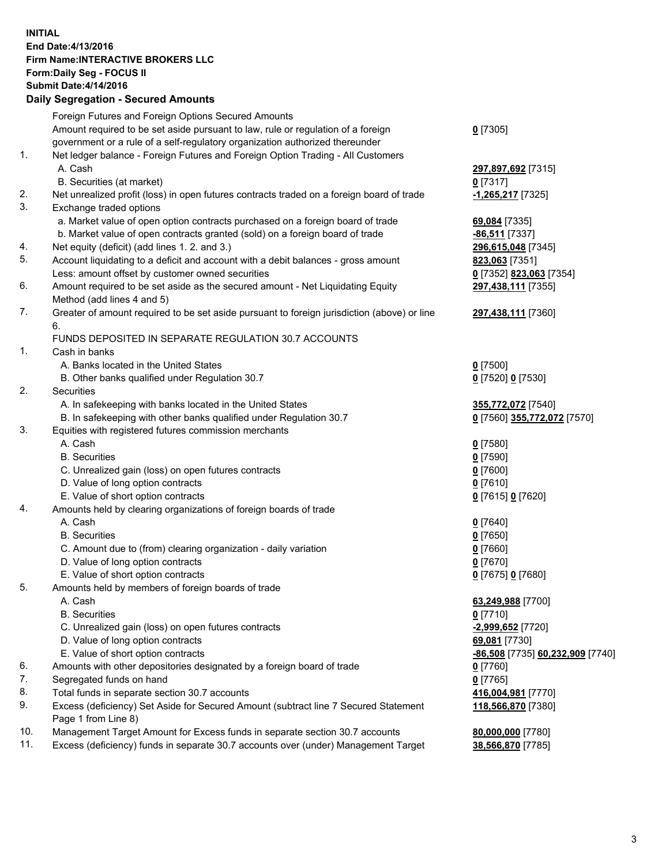## **INITIAL End Date:4/13/2016 Firm Name:INTERACTIVE BROKERS LLC Form:Daily Seg - FOCUS II Submit Date:4/14/2016 Daily Segregation - Secured Amounts**

|     | Daily Jegregation - Jeculed Aniounts                                                                       |                                  |
|-----|------------------------------------------------------------------------------------------------------------|----------------------------------|
|     | Foreign Futures and Foreign Options Secured Amounts                                                        |                                  |
|     | Amount required to be set aside pursuant to law, rule or regulation of a foreign                           | $0$ [7305]                       |
|     | government or a rule of a self-regulatory organization authorized thereunder                               |                                  |
| 1.  | Net ledger balance - Foreign Futures and Foreign Option Trading - All Customers                            |                                  |
|     | A. Cash                                                                                                    | 297,897,692 [7315]               |
|     | B. Securities (at market)                                                                                  | $0$ [7317]                       |
| 2.  | Net unrealized profit (loss) in open futures contracts traded on a foreign board of trade                  | -1,265,217 [7325]                |
| 3.  | Exchange traded options                                                                                    |                                  |
|     | a. Market value of open option contracts purchased on a foreign board of trade                             | 69,084 [7335]                    |
|     | b. Market value of open contracts granted (sold) on a foreign board of trade                               | $-86,511$ [7337]                 |
| 4.  | Net equity (deficit) (add lines 1. 2. and 3.)                                                              | 296,615,048 [7345]               |
| 5.  | Account liquidating to a deficit and account with a debit balances - gross amount                          | 823,063 [7351]                   |
|     | Less: amount offset by customer owned securities                                                           | 0 [7352] 823,063 [7354]          |
| 6.  | Amount required to be set aside as the secured amount - Net Liquidating Equity                             | 297,438,111 [7355]               |
|     | Method (add lines 4 and 5)                                                                                 |                                  |
| 7.  | Greater of amount required to be set aside pursuant to foreign jurisdiction (above) or line                | 297,438,111 [7360]               |
|     | 6.                                                                                                         |                                  |
|     | FUNDS DEPOSITED IN SEPARATE REGULATION 30.7 ACCOUNTS                                                       |                                  |
| 1.  | Cash in banks                                                                                              |                                  |
|     | A. Banks located in the United States                                                                      | $0$ [7500]                       |
|     | B. Other banks qualified under Regulation 30.7                                                             | 0 [7520] 0 [7530]                |
| 2.  | Securities                                                                                                 |                                  |
|     | A. In safekeeping with banks located in the United States                                                  | 355,772,072 [7540]               |
|     | B. In safekeeping with other banks qualified under Regulation 30.7                                         | 0 [7560] 355,772,072 [7570]      |
| 3.  | Equities with registered futures commission merchants                                                      |                                  |
|     | A. Cash                                                                                                    | $0$ [7580]                       |
|     | <b>B.</b> Securities                                                                                       | $0$ [7590]                       |
|     | C. Unrealized gain (loss) on open futures contracts                                                        | $0$ [7600]                       |
|     | D. Value of long option contracts                                                                          | $0$ [7610]                       |
|     | E. Value of short option contracts                                                                         | 0 [7615] 0 [7620]                |
| 4.  | Amounts held by clearing organizations of foreign boards of trade                                          |                                  |
|     | A. Cash                                                                                                    | $0$ [7640]                       |
|     | <b>B.</b> Securities                                                                                       | $0$ [7650]                       |
|     | C. Amount due to (from) clearing organization - daily variation                                            | $0$ [7660]                       |
|     | D. Value of long option contracts                                                                          | $0$ [7670]                       |
|     | E. Value of short option contracts                                                                         | 0 [7675] 0 [7680]                |
| 5.  | Amounts held by members of foreign boards of trade                                                         |                                  |
|     | A. Cash                                                                                                    | 63,249,988 [7700]                |
|     | <b>B.</b> Securities                                                                                       | $0$ [7710]                       |
|     | C. Unrealized gain (loss) on open futures contracts                                                        | -2,999,652 [7720]                |
|     | D. Value of long option contracts                                                                          | 69,081 [7730]                    |
|     | E. Value of short option contracts                                                                         | -86,508 [7735] 60,232,909 [7740] |
| 6.  | Amounts with other depositories designated by a foreign board of trade                                     | 0 [7760]                         |
| 7.  | Segregated funds on hand                                                                                   | $0$ [7765]                       |
| 8.  | Total funds in separate section 30.7 accounts                                                              | 416,004,981 [7770]               |
| 9.  | Excess (deficiency) Set Aside for Secured Amount (subtract line 7 Secured Statement<br>Page 1 from Line 8) | 118,566,870 [7380]               |
| 10. | Management Target Amount for Excess funds in separate section 30.7 accounts                                | 80,000,000 [7780]                |
| 11. | Excess (deficiency) funds in separate 30.7 accounts over (under) Management Target                         | 38,566,870 [7785]                |
|     |                                                                                                            |                                  |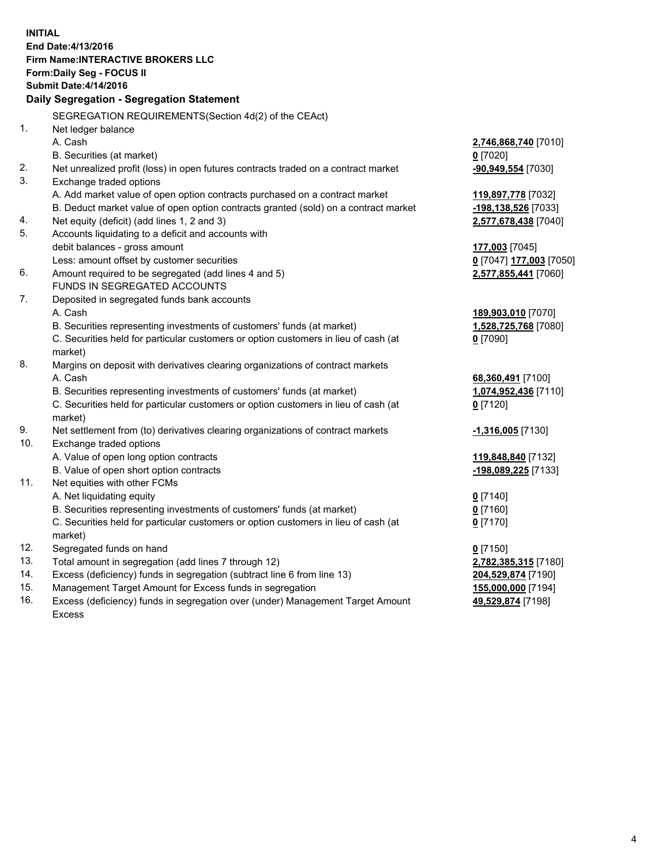**INITIAL End Date:4/13/2016 Firm Name:INTERACTIVE BROKERS LLC Form:Daily Seg - FOCUS II Submit Date:4/14/2016 Daily Segregation - Segregation Statement** SEGREGATION REQUIREMENTS(Section 4d(2) of the CEAct) 1. Net ledger balance A. Cash **2,746,868,740** [7010] B. Securities (at market) **0** [7020] 2. Net unrealized profit (loss) in open futures contracts traded on a contract market **-90,949,554** [7030] 3. Exchange traded options A. Add market value of open option contracts purchased on a contract market **119,897,778** [7032] B. Deduct market value of open option contracts granted (sold) on a contract market **-198,138,526** [7033] 4. Net equity (deficit) (add lines 1, 2 and 3) **2,577,678,438** [7040] 5. Accounts liquidating to a deficit and accounts with debit balances - gross amount **177,003** [7045] Less: amount offset by customer securities **0** [7047] **177,003** [7050] 6. Amount required to be segregated (add lines 4 and 5) **2,577,855,441** [7060] FUNDS IN SEGREGATED ACCOUNTS 7. Deposited in segregated funds bank accounts A. Cash **189,903,010** [7070] B. Securities representing investments of customers' funds (at market) **1,528,725,768** [7080] C. Securities held for particular customers or option customers in lieu of cash (at market) **0** [7090] 8. Margins on deposit with derivatives clearing organizations of contract markets A. Cash **68,360,491** [7100] B. Securities representing investments of customers' funds (at market) **1,074,952,436** [7110] C. Securities held for particular customers or option customers in lieu of cash (at market) **0** [7120] 9. Net settlement from (to) derivatives clearing organizations of contract markets **-1,316,005** [7130] 10. Exchange traded options A. Value of open long option contracts **119,848,840** [7132] B. Value of open short option contracts **-198,089,225** [7133] 11. Net equities with other FCMs A. Net liquidating equity **0** [7140] B. Securities representing investments of customers' funds (at market) **0** [7160] C. Securities held for particular customers or option customers in lieu of cash (at market) **0** [7170] 12. Segregated funds on hand **0** [7150] 13. Total amount in segregation (add lines 7 through 12) **2,782,385,315** [7180] 14. Excess (deficiency) funds in segregation (subtract line 6 from line 13) **204,529,874** [7190] 15. Management Target Amount for Excess funds in segregation **155,000,000** [7194] **49,529,874** [7198]

16. Excess (deficiency) funds in segregation over (under) Management Target Amount Excess